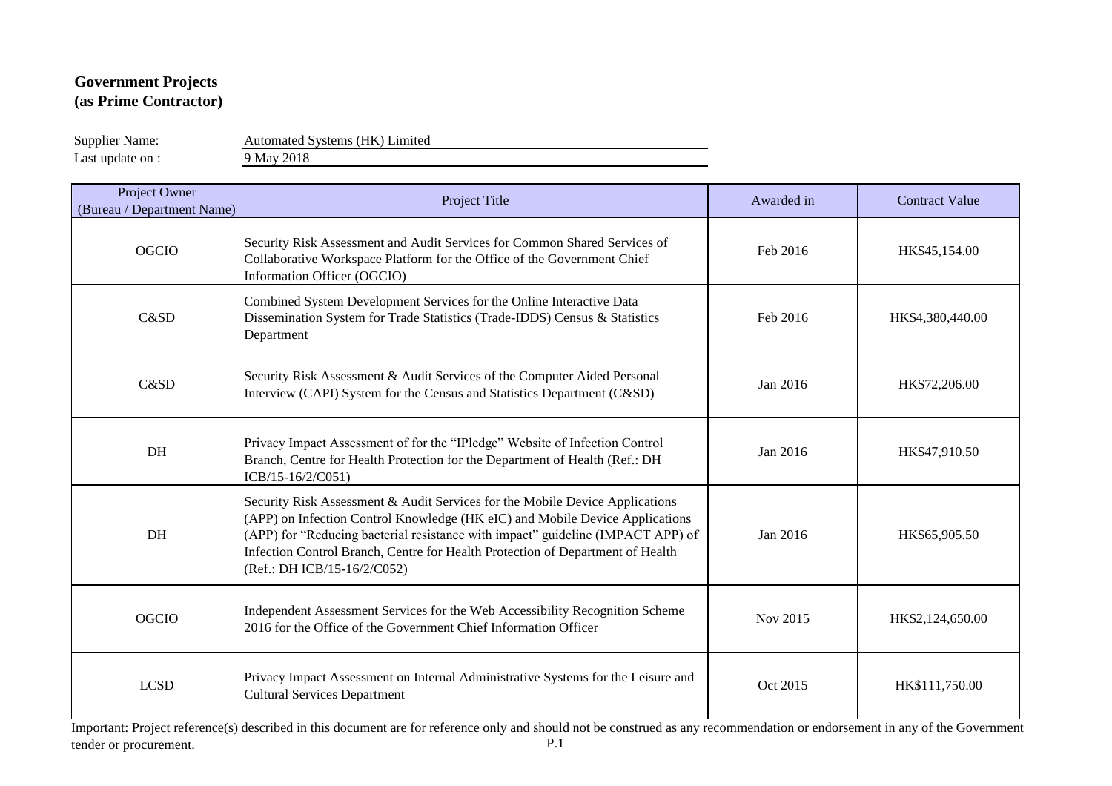Supplier Name: Automated Systems (HK) Limited Last update on : 9 May 2018

| Project Owner<br>(Bureau / Department Name) | Project Title                                                                                                                                                                                                                                                                                                                                                    | Awarded in | <b>Contract Value</b> |
|---------------------------------------------|------------------------------------------------------------------------------------------------------------------------------------------------------------------------------------------------------------------------------------------------------------------------------------------------------------------------------------------------------------------|------------|-----------------------|
| <b>OGCIO</b>                                | Security Risk Assessment and Audit Services for Common Shared Services of<br>Collaborative Workspace Platform for the Office of the Government Chief<br>Information Officer (OGCIO)                                                                                                                                                                              | Feb 2016   | HK\$45,154.00         |
| C&SD                                        | Combined System Development Services for the Online Interactive Data<br>Dissemination System for Trade Statistics (Trade-IDDS) Census & Statistics<br>Department                                                                                                                                                                                                 | Feb 2016   | HK\$4,380,440.00      |
| C&SD                                        | Security Risk Assessment & Audit Services of the Computer Aided Personal<br>Interview (CAPI) System for the Census and Statistics Department (C&SD)                                                                                                                                                                                                              | Jan 2016   | HK\$72,206.00         |
| DH                                          | Privacy Impact Assessment of for the "IPledge" Website of Infection Control<br>Branch, Centre for Health Protection for the Department of Health (Ref.: DH<br>ICB/15-16/2/C051)                                                                                                                                                                                  | Jan 2016   | HK\$47,910.50         |
| DH                                          | Security Risk Assessment & Audit Services for the Mobile Device Applications<br>(APP) on Infection Control Knowledge (HK eIC) and Mobile Device Applications<br>(APP) for "Reducing bacterial resistance with impact" guideline (IMPACT APP) of<br>Infection Control Branch, Centre for Health Protection of Department of Health<br>(Ref.: DH ICB/15-16/2/C052) | Jan 2016   | HK\$65,905.50         |
| <b>OGCIO</b>                                | Independent Assessment Services for the Web Accessibility Recognition Scheme<br>2016 for the Office of the Government Chief Information Officer                                                                                                                                                                                                                  | Nov 2015   | HK\$2,124,650.00      |
| <b>LCSD</b>                                 | Privacy Impact Assessment on Internal Administrative Systems for the Leisure and<br><b>Cultural Services Department</b>                                                                                                                                                                                                                                          | Oct 2015   | HK\$111,750.00        |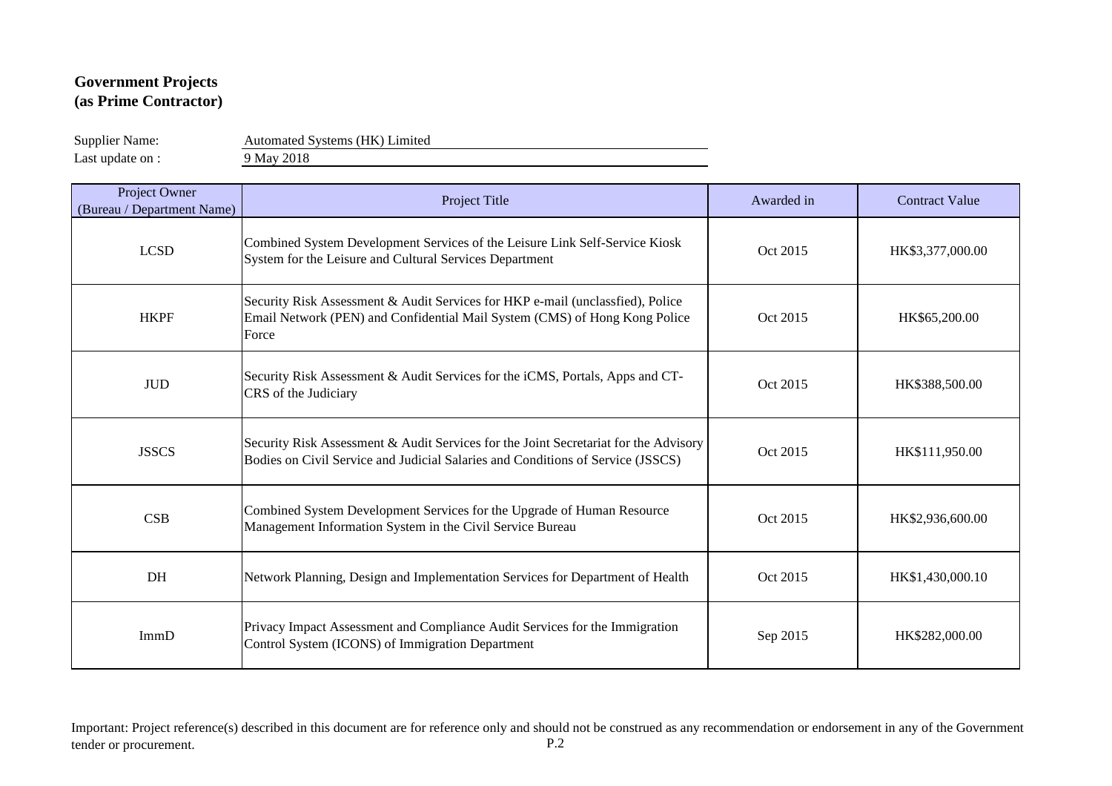Supplier Name: Automated Systems (HK) Limited

Last update on : 9 May 2018

| Project Owner<br>(Bureau / Department Name) | Project Title                                                                                                                                                           | Awarded in | <b>Contract Value</b> |
|---------------------------------------------|-------------------------------------------------------------------------------------------------------------------------------------------------------------------------|------------|-----------------------|
| <b>LCSD</b>                                 | Combined System Development Services of the Leisure Link Self-Service Kiosk<br>System for the Leisure and Cultural Services Department                                  | Oct 2015   | HK\$3,377,000.00      |
| <b>HKPF</b>                                 | Security Risk Assessment & Audit Services for HKP e-mail (unclassfied), Police<br>Email Network (PEN) and Confidential Mail System (CMS) of Hong Kong Police<br>Force   | Oct 2015   | HK\$65,200.00         |
| <b>JUD</b>                                  | Security Risk Assessment & Audit Services for the iCMS, Portals, Apps and CT-<br>CRS of the Judiciary                                                                   | Oct 2015   | HK\$388,500.00        |
| <b>JSSCS</b>                                | Security Risk Assessment & Audit Services for the Joint Secretariat for the Advisory<br>Bodies on Civil Service and Judicial Salaries and Conditions of Service (JSSCS) | Oct 2015   | HK\$111,950.00        |
| CSB                                         | Combined System Development Services for the Upgrade of Human Resource<br>Management Information System in the Civil Service Bureau                                     | Oct 2015   | HK\$2,936,600.00      |
| DH                                          | Network Planning, Design and Implementation Services for Department of Health                                                                                           | Oct 2015   | HK\$1,430,000.10      |
| ImmD                                        | Privacy Impact Assessment and Compliance Audit Services for the Immigration<br>Control System (ICONS) of Immigration Department                                         | Sep 2015   | HK\$282,000.00        |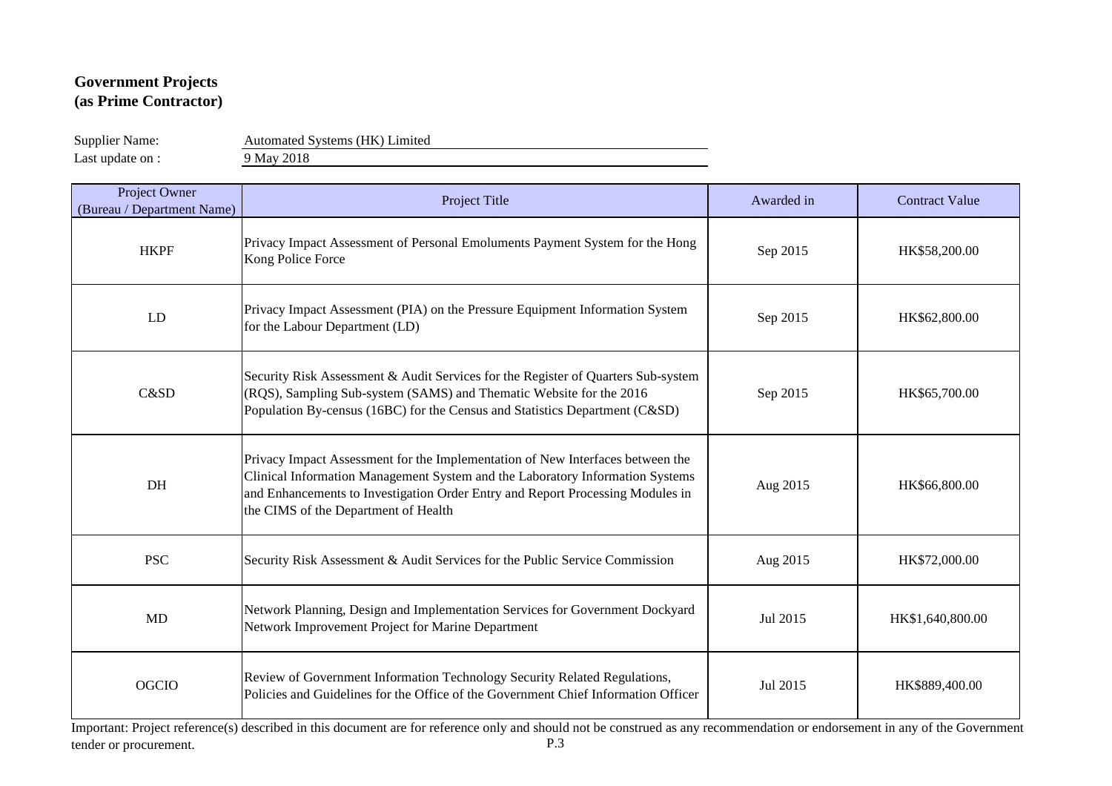Supplier Name: Automated Systems (HK) Limited

Last update on : 9 May 2018

| Project Owner<br>(Bureau / Department Name) | Project Title                                                                                                                                                                                                                                                                             | Awarded in | <b>Contract Value</b> |
|---------------------------------------------|-------------------------------------------------------------------------------------------------------------------------------------------------------------------------------------------------------------------------------------------------------------------------------------------|------------|-----------------------|
| <b>HKPF</b>                                 | Privacy Impact Assessment of Personal Emoluments Payment System for the Hong<br>Kong Police Force                                                                                                                                                                                         | Sep 2015   | HK\$58,200.00         |
| LD                                          | Privacy Impact Assessment (PIA) on the Pressure Equipment Information System<br>for the Labour Department (LD)                                                                                                                                                                            | Sep 2015   | HK\$62,800.00         |
| C&SD                                        | Security Risk Assessment & Audit Services for the Register of Quarters Sub-system<br>(RQS), Sampling Sub-system (SAMS) and Thematic Website for the 2016<br>Population By-census (16BC) for the Census and Statistics Department (C&SD)                                                   | Sep 2015   | HK\$65,700.00         |
| DH                                          | Privacy Impact Assessment for the Implementation of New Interfaces between the<br>Clinical Information Management System and the Laboratory Information Systems<br>and Enhancements to Investigation Order Entry and Report Processing Modules in<br>the CIMS of the Department of Health | Aug 2015   | HK\$66,800.00         |
| <b>PSC</b>                                  | Security Risk Assessment & Audit Services for the Public Service Commission                                                                                                                                                                                                               | Aug 2015   | HK\$72,000.00         |
| <b>MD</b>                                   | Network Planning, Design and Implementation Services for Government Dockyard<br>Network Improvement Project for Marine Department                                                                                                                                                         | Jul 2015   | HK\$1,640,800.00      |
| <b>OGCIO</b>                                | Review of Government Information Technology Security Related Regulations,<br>Policies and Guidelines for the Office of the Government Chief Information Officer                                                                                                                           | Jul 2015   | HK\$889,400.00        |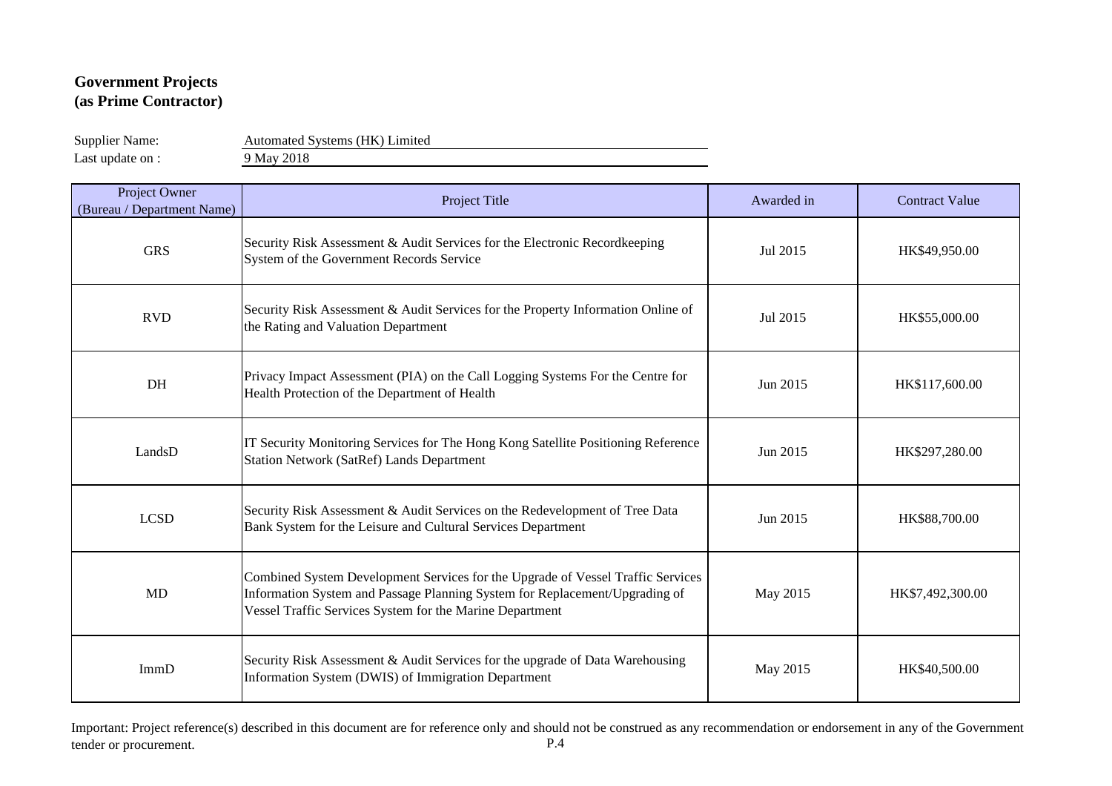Supplier Name: Automated Systems (HK) Limited

Last update on : 9 May 2018

| Project Owner<br>(Bureau / Department Name) | Project Title                                                                                                                                                                                                              | Awarded in | <b>Contract Value</b> |
|---------------------------------------------|----------------------------------------------------------------------------------------------------------------------------------------------------------------------------------------------------------------------------|------------|-----------------------|
| <b>GRS</b>                                  | Security Risk Assessment & Audit Services for the Electronic Recordkeeping<br>System of the Government Records Service                                                                                                     | Jul 2015   | HK\$49,950.00         |
| <b>RVD</b>                                  | Security Risk Assessment & Audit Services for the Property Information Online of<br>the Rating and Valuation Department                                                                                                    | Jul 2015   | HK\$55,000.00         |
| DH                                          | Privacy Impact Assessment (PIA) on the Call Logging Systems For the Centre for<br>Health Protection of the Department of Health                                                                                            | Jun 2015   | HK\$117,600.00        |
| LandsD                                      | IT Security Monitoring Services for The Hong Kong Satellite Positioning Reference<br><b>Station Network (SatRef) Lands Department</b>                                                                                      | Jun 2015   | HK\$297,280.00        |
| <b>LCSD</b>                                 | Security Risk Assessment & Audit Services on the Redevelopment of Tree Data<br>Bank System for the Leisure and Cultural Services Department                                                                                | Jun 2015   | HK\$88,700.00         |
| <b>MD</b>                                   | Combined System Development Services for the Upgrade of Vessel Traffic Services<br>Information System and Passage Planning System for Replacement/Upgrading of<br>Vessel Traffic Services System for the Marine Department | May 2015   | HK\$7,492,300.00      |
| ImmD                                        | Security Risk Assessment & Audit Services for the upgrade of Data Warehousing<br>Information System (DWIS) of Immigration Department                                                                                       | May 2015   | HK\$40,500.00         |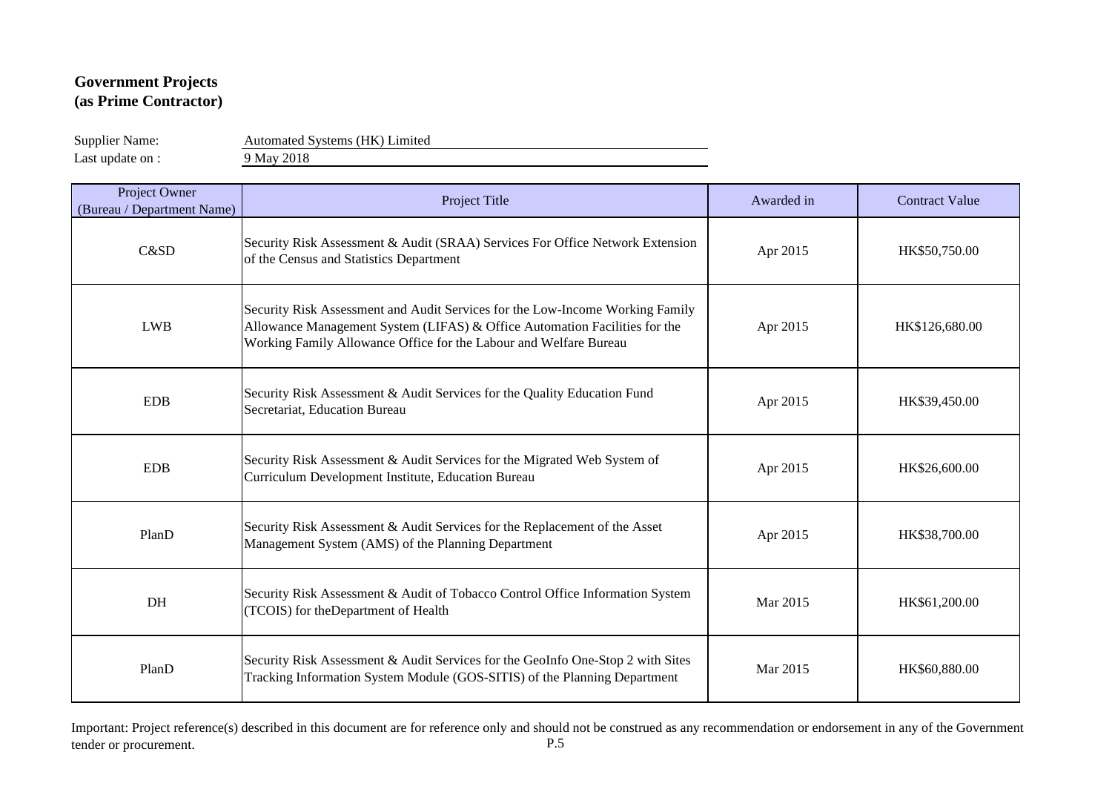Supplier Name: Automated Systems (HK) Limited

Last update on : 9 May 2018

| Project Owner<br>(Bureau / Department Name) | Project Title                                                                                                                                                                                                                    | Awarded in | <b>Contract Value</b> |
|---------------------------------------------|----------------------------------------------------------------------------------------------------------------------------------------------------------------------------------------------------------------------------------|------------|-----------------------|
| C&SD                                        | Security Risk Assessment & Audit (SRAA) Services For Office Network Extension<br>of the Census and Statistics Department                                                                                                         | Apr 2015   | HK\$50,750.00         |
| <b>LWB</b>                                  | Security Risk Assessment and Audit Services for the Low-Income Working Family<br>Allowance Management System (LIFAS) & Office Automation Facilities for the<br>Working Family Allowance Office for the Labour and Welfare Bureau | Apr 2015   | HK\$126,680.00        |
| <b>EDB</b>                                  | Security Risk Assessment & Audit Services for the Quality Education Fund<br>Secretariat, Education Bureau                                                                                                                        | Apr 2015   | HK\$39,450.00         |
| <b>EDB</b>                                  | Security Risk Assessment & Audit Services for the Migrated Web System of<br>Curriculum Development Institute, Education Bureau                                                                                                   | Apr 2015   | HK\$26,600.00         |
| PlanD                                       | Security Risk Assessment & Audit Services for the Replacement of the Asset<br>Management System (AMS) of the Planning Department                                                                                                 | Apr 2015   | HK\$38,700.00         |
| DH                                          | Security Risk Assessment & Audit of Tobacco Control Office Information System<br>(TCOIS) for theDepartment of Health                                                                                                             | Mar 2015   | HK\$61,200.00         |
| PlanD                                       | Security Risk Assessment & Audit Services for the GeoInfo One-Stop 2 with Sites<br>Tracking Information System Module (GOS-SITIS) of the Planning Department                                                                     | Mar 2015   | HK\$60,880.00         |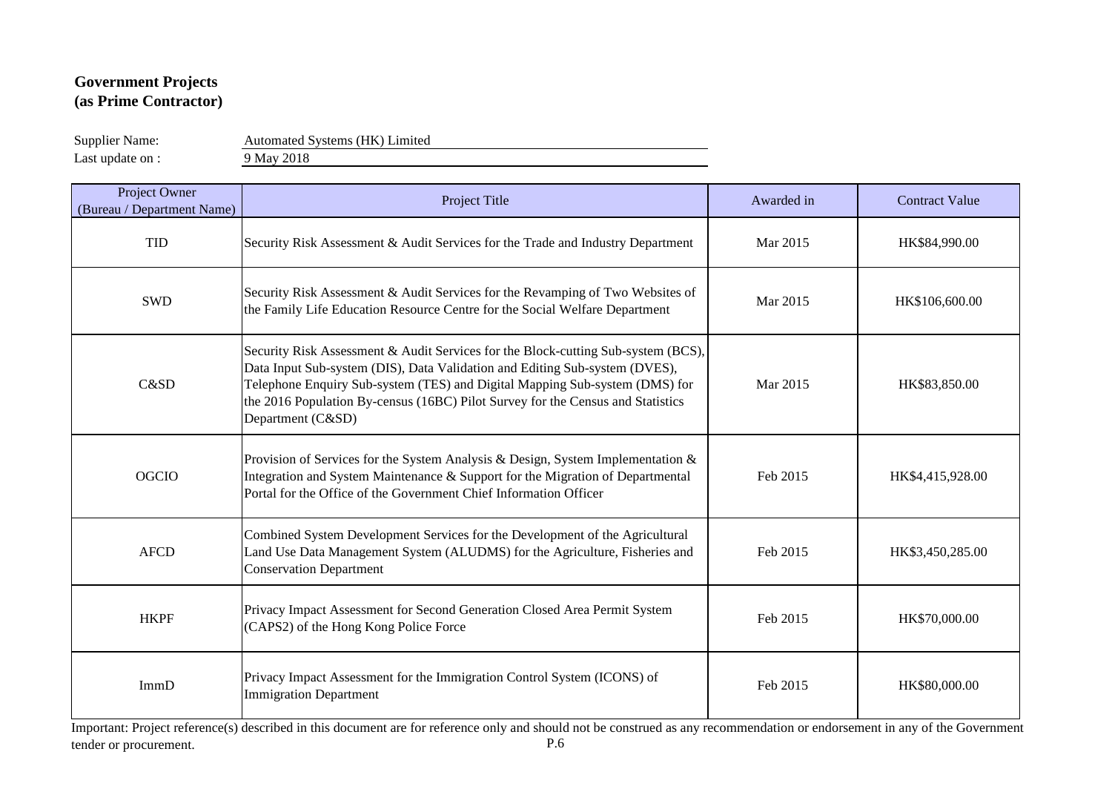Supplier Name: Automated Systems (HK) Limited

Last update on : 9 May 2018

| Project Owner<br>(Bureau / Department Name) | Project Title                                                                                                                                                                                                                                                                                                                                           | Awarded in | <b>Contract Value</b> |
|---------------------------------------------|---------------------------------------------------------------------------------------------------------------------------------------------------------------------------------------------------------------------------------------------------------------------------------------------------------------------------------------------------------|------------|-----------------------|
| <b>TID</b>                                  | Security Risk Assessment & Audit Services for the Trade and Industry Department                                                                                                                                                                                                                                                                         | Mar 2015   | HK\$84,990.00         |
| <b>SWD</b>                                  | Security Risk Assessment & Audit Services for the Revamping of Two Websites of<br>the Family Life Education Resource Centre for the Social Welfare Department                                                                                                                                                                                           | Mar 2015   | HK\$106,600.00        |
| C&SD                                        | Security Risk Assessment & Audit Services for the Block-cutting Sub-system (BCS),<br>Data Input Sub-system (DIS), Data Validation and Editing Sub-system (DVES),<br>Telephone Enquiry Sub-system (TES) and Digital Mapping Sub-system (DMS) for<br>the 2016 Population By-census (16BC) Pilot Survey for the Census and Statistics<br>Department (C&SD) | Mar 2015   | HK\$83,850.00         |
| <b>OGCIO</b>                                | Provision of Services for the System Analysis & Design, System Implementation &<br>Integration and System Maintenance & Support for the Migration of Departmental<br>Portal for the Office of the Government Chief Information Officer                                                                                                                  | Feb 2015   | HK\$4,415,928.00      |
| <b>AFCD</b>                                 | Combined System Development Services for the Development of the Agricultural<br>Land Use Data Management System (ALUDMS) for the Agriculture, Fisheries and<br><b>Conservation Department</b>                                                                                                                                                           | Feb 2015   | HK\$3,450,285.00      |
| <b>HKPF</b>                                 | Privacy Impact Assessment for Second Generation Closed Area Permit System<br>(CAPS2) of the Hong Kong Police Force                                                                                                                                                                                                                                      | Feb 2015   | HK\$70,000.00         |
| ImmD                                        | Privacy Impact Assessment for the Immigration Control System (ICONS) of<br><b>Immigration Department</b>                                                                                                                                                                                                                                                | Feb 2015   | HK\$80,000.00         |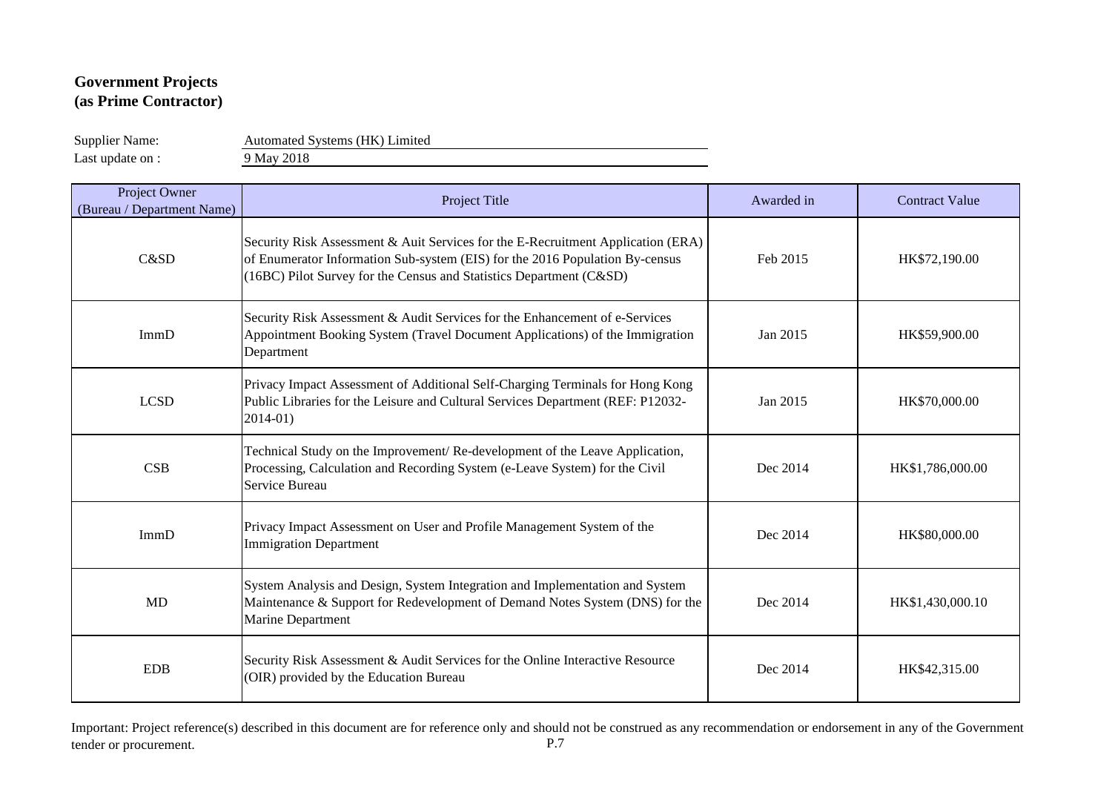Supplier Name: Automated Systems (HK) Limited

Last update on : 9 May 2018

| Project Owner<br>(Bureau / Department Name) | Project Title                                                                                                                                                                                                                           | Awarded in | <b>Contract Value</b> |
|---------------------------------------------|-----------------------------------------------------------------------------------------------------------------------------------------------------------------------------------------------------------------------------------------|------------|-----------------------|
| C&SD                                        | Security Risk Assessment & Auit Services for the E-Recruitment Application (ERA)<br>of Enumerator Information Sub-system (EIS) for the 2016 Population By-census<br>(16BC) Pilot Survey for the Census and Statistics Department (C&SD) | Feb 2015   | HK\$72,190.00         |
| ImmD                                        | Security Risk Assessment & Audit Services for the Enhancement of e-Services<br>Appointment Booking System (Travel Document Applications) of the Immigration<br>Department                                                               | Jan 2015   | HK\$59,900.00         |
| <b>LCSD</b>                                 | Privacy Impact Assessment of Additional Self-Charging Terminals for Hong Kong<br>Public Libraries for the Leisure and Cultural Services Department (REF: P12032-<br>$2014 - 01$                                                         | Jan 2015   | HK\$70,000.00         |
| CSB                                         | Technical Study on the Improvement/Re-development of the Leave Application,<br>Processing, Calculation and Recording System (e-Leave System) for the Civil<br>Service Bureau                                                            | Dec 2014   | HK\$1,786,000.00      |
| ImmD                                        | Privacy Impact Assessment on User and Profile Management System of the<br><b>Immigration Department</b>                                                                                                                                 | Dec 2014   | HK\$80,000.00         |
| MD                                          | System Analysis and Design, System Integration and Implementation and System<br>Maintenance & Support for Redevelopment of Demand Notes System (DNS) for the<br>Marine Department                                                       | Dec 2014   | HK\$1,430,000.10      |
| <b>EDB</b>                                  | Security Risk Assessment & Audit Services for the Online Interactive Resource<br>(OIR) provided by the Education Bureau                                                                                                                 | Dec 2014   | HK\$42,315.00         |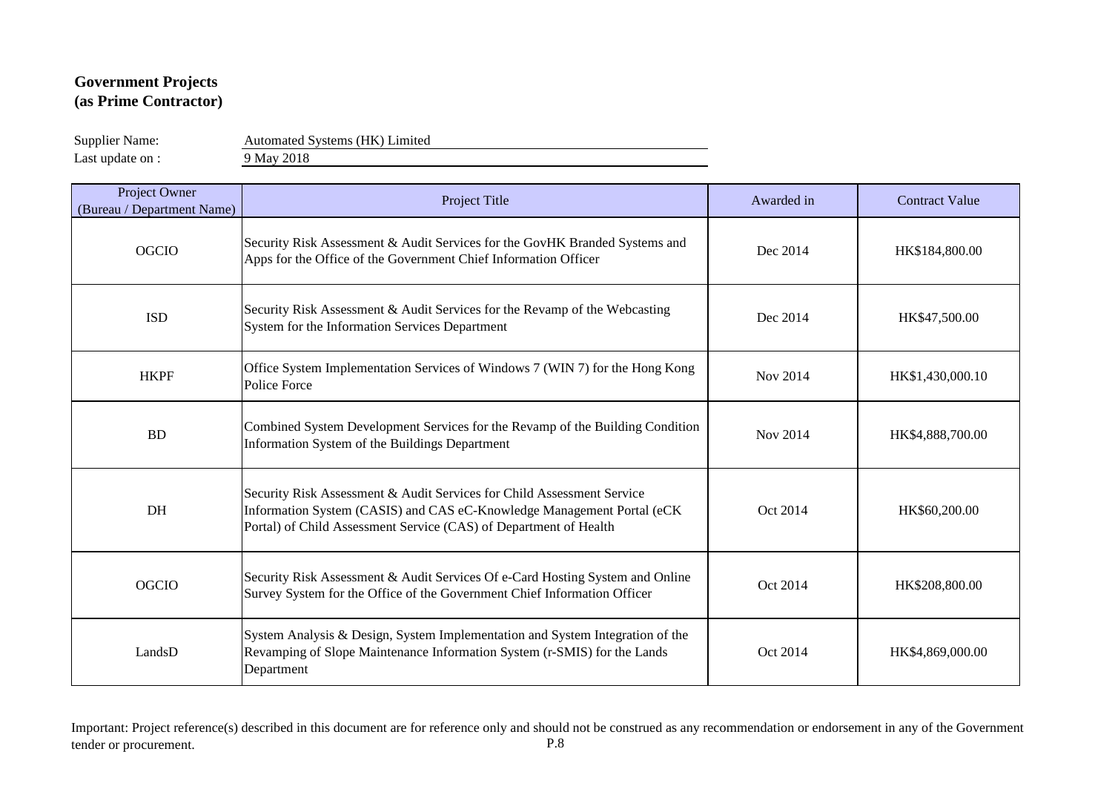Supplier Name: Automated Systems (HK) Limited

Last update on : 9 May 2018

| Project Owner<br>(Bureau / Department Name) | Project Title                                                                                                                                                                                                         | Awarded in | <b>Contract Value</b> |
|---------------------------------------------|-----------------------------------------------------------------------------------------------------------------------------------------------------------------------------------------------------------------------|------------|-----------------------|
| <b>OGCIO</b>                                | Security Risk Assessment & Audit Services for the GovHK Branded Systems and<br>Apps for the Office of the Government Chief Information Officer                                                                        | Dec 2014   | HK\$184,800.00        |
| <b>ISD</b>                                  | Security Risk Assessment & Audit Services for the Revamp of the Webcasting<br>System for the Information Services Department                                                                                          | Dec 2014   | HK\$47,500.00         |
| <b>HKPF</b>                                 | Office System Implementation Services of Windows 7 (WIN 7) for the Hong Kong<br>Police Force                                                                                                                          | Nov 2014   | HK\$1,430,000.10      |
| <b>BD</b>                                   | Combined System Development Services for the Revamp of the Building Condition<br>Information System of the Buildings Department                                                                                       | Nov 2014   | HK\$4,888,700.00      |
| DH                                          | Security Risk Assessment & Audit Services for Child Assessment Service<br>Information System (CASIS) and CAS eC-Knowledge Management Portal (eCK<br>Portal) of Child Assessment Service (CAS) of Department of Health | Oct 2014   | HK\$60,200.00         |
| <b>OGCIO</b>                                | Security Risk Assessment & Audit Services Of e-Card Hosting System and Online<br>Survey System for the Office of the Government Chief Information Officer                                                             | Oct 2014   | HK\$208,800.00        |
| LandsD                                      | System Analysis & Design, System Implementation and System Integration of the<br>Revamping of Slope Maintenance Information System (r-SMIS) for the Lands<br>Department                                               | Oct 2014   | HK\$4,869,000.00      |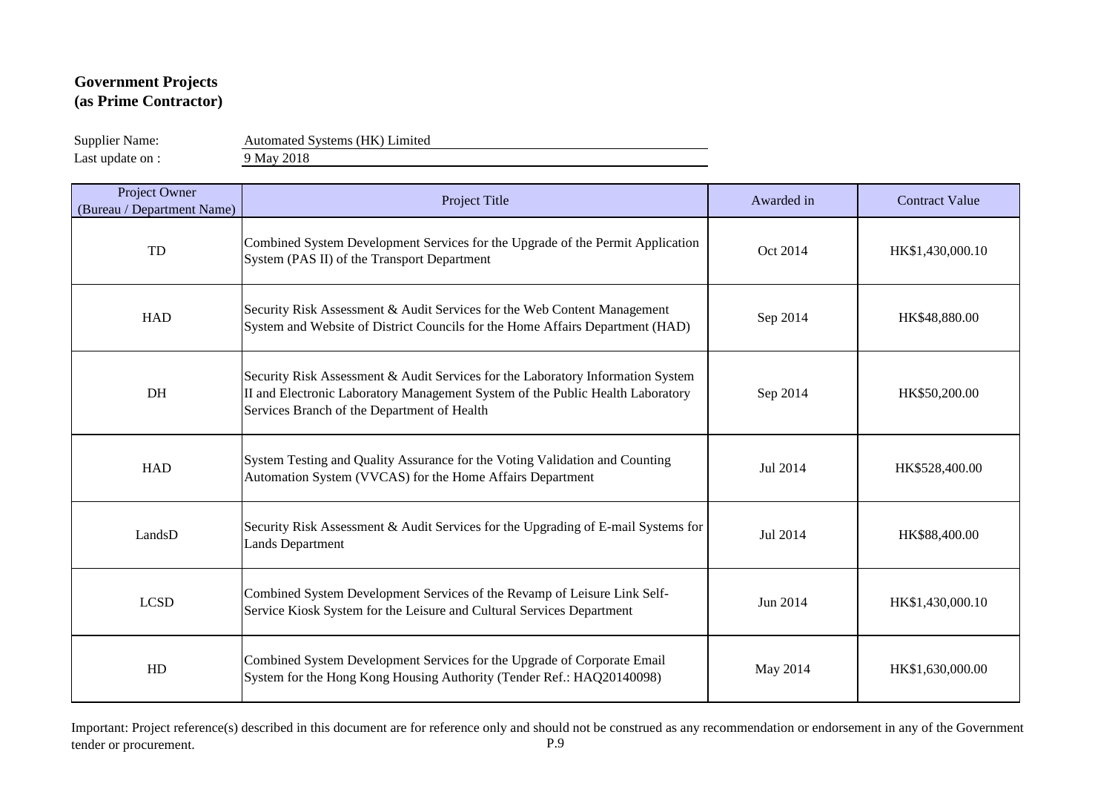Supplier Name: Automated Systems (HK) Limited

Last update on : 9 May 2018

| Project Owner<br>(Bureau / Department Name) | Project Title                                                                                                                                                                                                    | Awarded in | <b>Contract Value</b> |
|---------------------------------------------|------------------------------------------------------------------------------------------------------------------------------------------------------------------------------------------------------------------|------------|-----------------------|
| TD                                          | Combined System Development Services for the Upgrade of the Permit Application<br>System (PAS II) of the Transport Department                                                                                    | Oct 2014   | HK\$1,430,000.10      |
| <b>HAD</b>                                  | Security Risk Assessment & Audit Services for the Web Content Management<br>System and Website of District Councils for the Home Affairs Department (HAD)                                                        | Sep 2014   | HK\$48,880.00         |
| DH                                          | Security Risk Assessment & Audit Services for the Laboratory Information System<br>II and Electronic Laboratory Management System of the Public Health Laboratory<br>Services Branch of the Department of Health | Sep 2014   | HK\$50,200.00         |
| <b>HAD</b>                                  | System Testing and Quality Assurance for the Voting Validation and Counting<br>Automation System (VVCAS) for the Home Affairs Department                                                                         | Jul 2014   | HK\$528,400.00        |
| LandsD                                      | Security Risk Assessment & Audit Services for the Upgrading of E-mail Systems for<br><b>Lands Department</b>                                                                                                     | Jul 2014   | HK\$88,400.00         |
| <b>LCSD</b>                                 | Combined System Development Services of the Revamp of Leisure Link Self-<br>Service Kiosk System for the Leisure and Cultural Services Department                                                                | Jun 2014   | HK\$1,430,000.10      |
| HD                                          | Combined System Development Services for the Upgrade of Corporate Email<br>System for the Hong Kong Housing Authority (Tender Ref.: HAQ20140098)                                                                 | May 2014   | HK\$1,630,000.00      |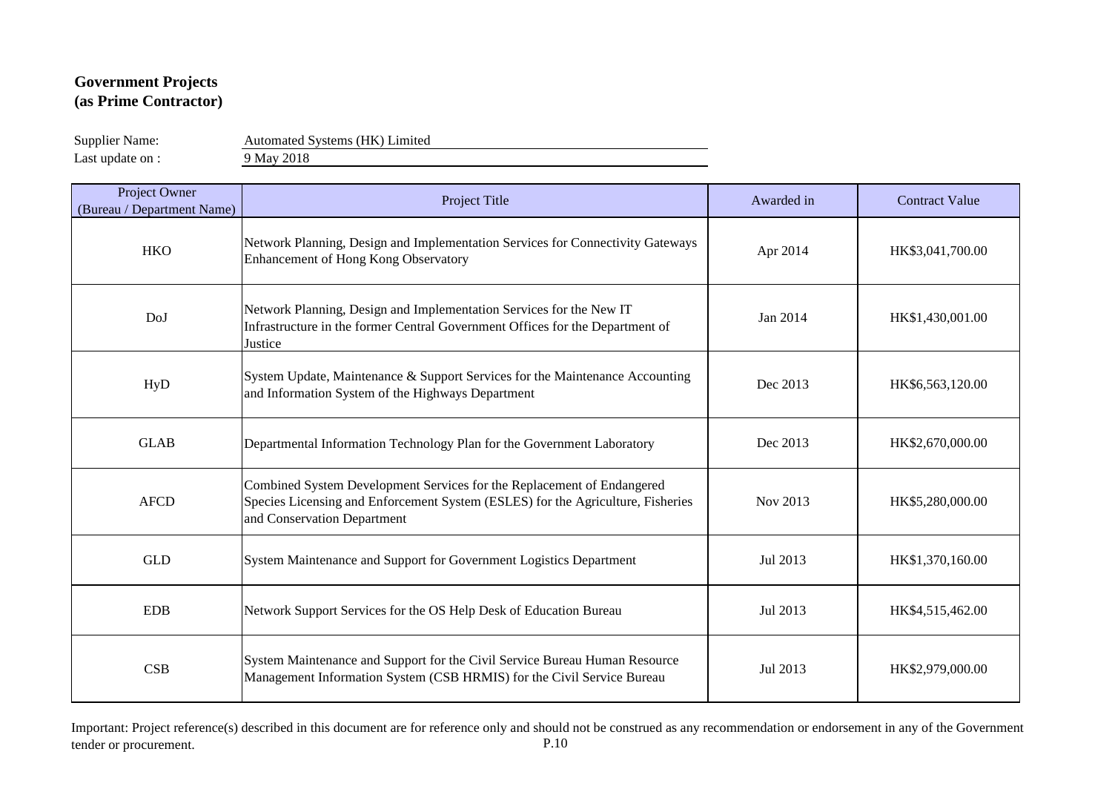Supplier Name: Automated Systems (HK) Limited

Last update on : 9 May 2018

| Project Owner<br>(Bureau / Department Name) | Project Title                                                                                                                                                                            | Awarded in | <b>Contract Value</b> |
|---------------------------------------------|------------------------------------------------------------------------------------------------------------------------------------------------------------------------------------------|------------|-----------------------|
| <b>HKO</b>                                  | Network Planning, Design and Implementation Services for Connectivity Gateways<br>Enhancement of Hong Kong Observatory                                                                   | Apr 2014   | HK\$3,041,700.00      |
| DoJ                                         | Network Planning, Design and Implementation Services for the New IT<br>Infrastructure in the former Central Government Offices for the Department of<br>Justice                          | Jan 2014   | HK\$1,430,001.00      |
| HyD                                         | System Update, Maintenance & Support Services for the Maintenance Accounting<br>and Information System of the Highways Department                                                        | Dec 2013   | HK\$6,563,120.00      |
| <b>GLAB</b>                                 | Departmental Information Technology Plan for the Government Laboratory                                                                                                                   | Dec 2013   | HK\$2,670,000.00      |
| <b>AFCD</b>                                 | Combined System Development Services for the Replacement of Endangered<br>Species Licensing and Enforcement System (ESLES) for the Agriculture, Fisheries<br>and Conservation Department | Nov 2013   | HK\$5,280,000.00      |
| <b>GLD</b>                                  | System Maintenance and Support for Government Logistics Department                                                                                                                       | Jul 2013   | HK\$1,370,160.00      |
| <b>EDB</b>                                  | Network Support Services for the OS Help Desk of Education Bureau                                                                                                                        | Jul 2013   | HK\$4,515,462.00      |
| CSB                                         | System Maintenance and Support for the Civil Service Bureau Human Resource<br>Management Information System (CSB HRMIS) for the Civil Service Bureau                                     | Jul 2013   | HK\$2,979,000.00      |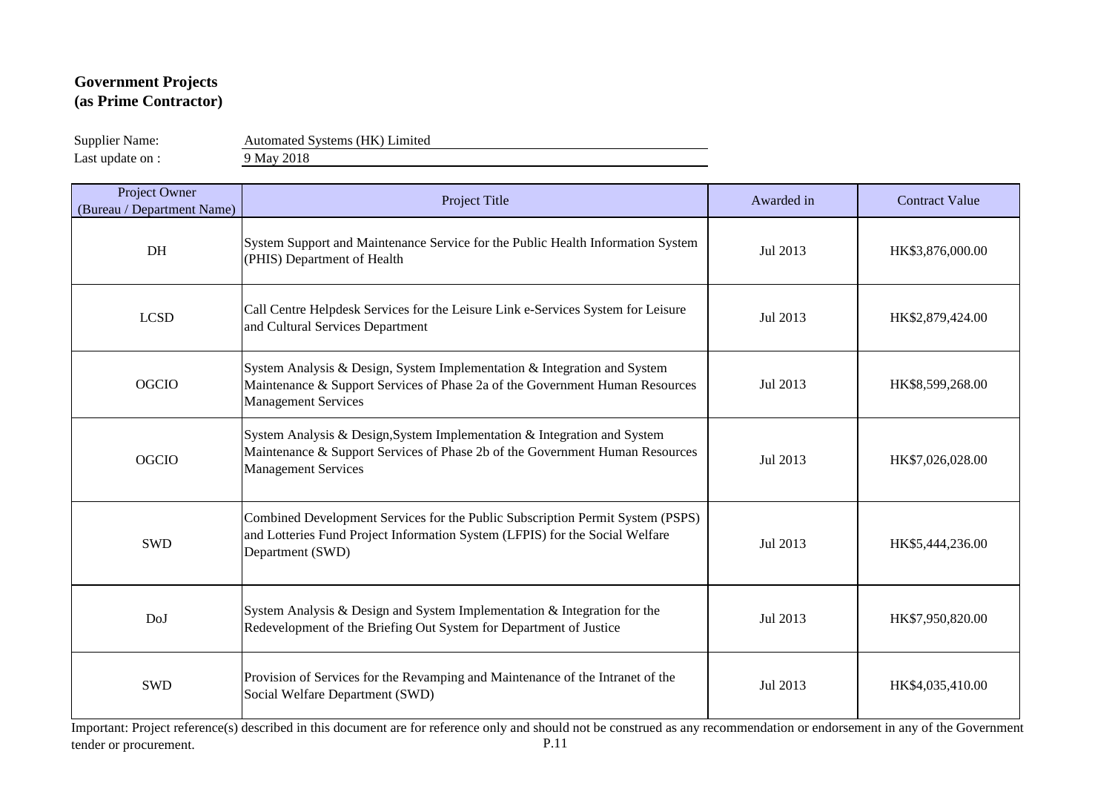Supplier Name: Automated Systems (HK) Limited

Last update on : 9 May 2018

| Project Owner<br>(Bureau / Department Name) | Project Title                                                                                                                                                                          | Awarded in | <b>Contract Value</b> |
|---------------------------------------------|----------------------------------------------------------------------------------------------------------------------------------------------------------------------------------------|------------|-----------------------|
| DH                                          | System Support and Maintenance Service for the Public Health Information System<br>(PHIS) Department of Health                                                                         | Jul 2013   | HK\$3,876,000.00      |
| <b>LCSD</b>                                 | Call Centre Helpdesk Services for the Leisure Link e-Services System for Leisure<br>and Cultural Services Department                                                                   | Jul 2013   | HK\$2,879,424.00      |
| <b>OGCIO</b>                                | System Analysis & Design, System Implementation & Integration and System<br>Maintenance & Support Services of Phase 2a of the Government Human Resources<br><b>Management Services</b> | Jul 2013   | HK\$8,599,268.00      |
| <b>OGCIO</b>                                | System Analysis & Design, System Implementation & Integration and System<br>Maintenance & Support Services of Phase 2b of the Government Human Resources<br><b>Management Services</b> | Jul 2013   | HK\$7,026,028.00      |
| <b>SWD</b>                                  | Combined Development Services for the Public Subscription Permit System (PSPS)<br>and Lotteries Fund Project Information System (LFPIS) for the Social Welfare<br>Department (SWD)     | Jul 2013   | HK\$5,444,236.00      |
| DoJ                                         | System Analysis & Design and System Implementation & Integration for the<br>Redevelopment of the Briefing Out System for Department of Justice                                         | Jul 2013   | HK\$7,950,820.00      |
| <b>SWD</b>                                  | Provision of Services for the Revamping and Maintenance of the Intranet of the<br>Social Welfare Department (SWD)                                                                      | Jul 2013   | HK\$4,035,410.00      |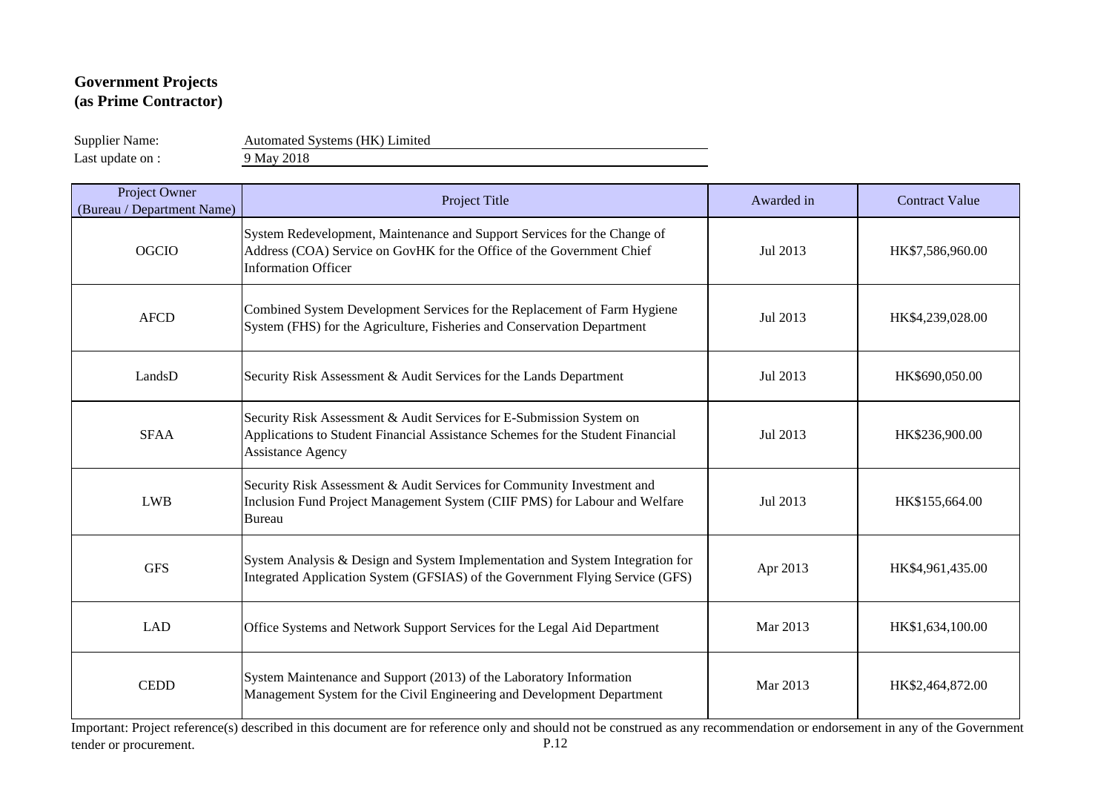Last update on : 9 May 2018

Supplier Name: Automated Systems (HK) Limited

| Project Owner<br>(Bureau / Department Name) | Project Title                                                                                                                                                                      | Awarded in | <b>Contract Value</b> |
|---------------------------------------------|------------------------------------------------------------------------------------------------------------------------------------------------------------------------------------|------------|-----------------------|
| <b>OGCIO</b>                                | System Redevelopment, Maintenance and Support Services for the Change of<br>Address (COA) Service on GovHK for the Office of the Government Chief<br><b>Information Officer</b>    | Jul 2013   | HK\$7,586,960.00      |
| <b>AFCD</b>                                 | Combined System Development Services for the Replacement of Farm Hygiene<br>System (FHS) for the Agriculture, Fisheries and Conservation Department                                | Jul 2013   | HK\$4,239,028.00      |
| LandsD                                      | Security Risk Assessment & Audit Services for the Lands Department                                                                                                                 | Jul 2013   | HK\$690,050.00        |
| <b>SFAA</b>                                 | Security Risk Assessment & Audit Services for E-Submission System on<br>Applications to Student Financial Assistance Schemes for the Student Financial<br><b>Assistance Agency</b> | Jul 2013   | HK\$236,900.00        |
| <b>LWB</b>                                  | Security Risk Assessment & Audit Services for Community Investment and<br>Inclusion Fund Project Management System (CIIF PMS) for Labour and Welfare<br><b>Bureau</b>              | Jul 2013   | HK\$155,664.00        |
| <b>GFS</b>                                  | System Analysis & Design and System Implementation and System Integration for<br>Integrated Application System (GFSIAS) of the Government Flying Service (GFS)                     | Apr 2013   | HK\$4,961,435.00      |
| <b>LAD</b>                                  | Office Systems and Network Support Services for the Legal Aid Department                                                                                                           | Mar 2013   | HK\$1,634,100.00      |
| <b>CEDD</b>                                 | System Maintenance and Support (2013) of the Laboratory Information<br>Management System for the Civil Engineering and Development Department                                      | Mar 2013   | HK\$2,464,872.00      |